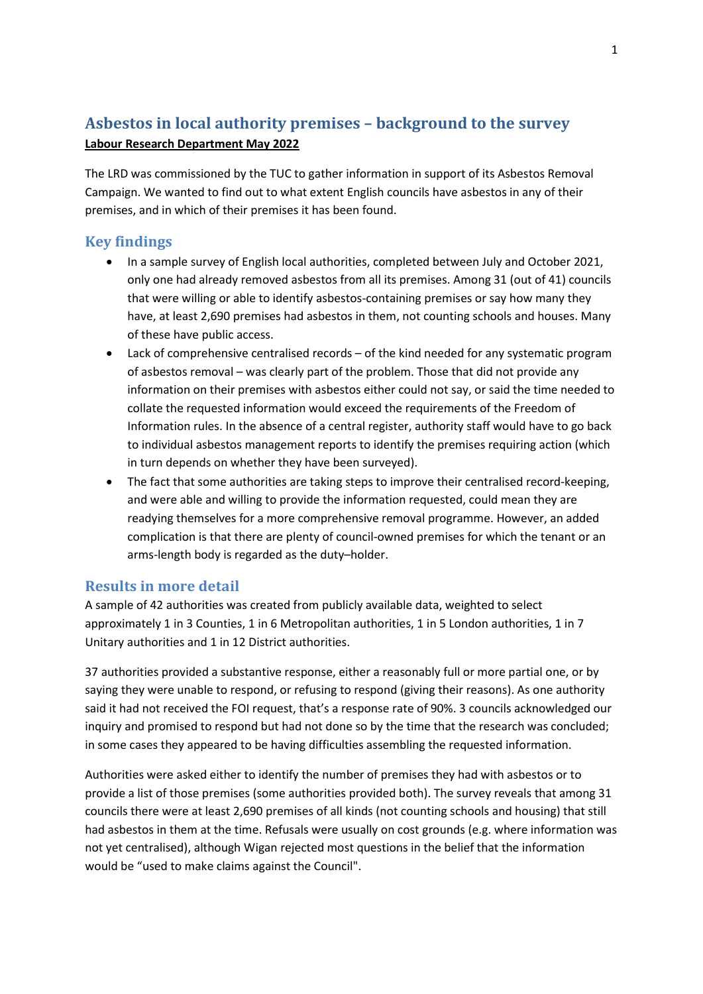# Asbestos in local authority premises – background to the survey Labour Research Department May 2022

The LRD was commissioned by the TUC to gather information in support of its Asbestos Removal Campaign. We wanted to find out to what extent English councils have asbestos in any of their premises, and in which of their premises it has been found.

# Key findings

- In a sample survey of English local authorities, completed between July and October 2021, only one had already removed asbestos from all its premises. Among 31 (out of 41) councils that were willing or able to identify asbestos-containing premises or say how many they have, at least 2,690 premises had asbestos in them, not counting schools and houses. Many of these have public access.
- Lack of comprehensive centralised records of the kind needed for any systematic program of asbestos removal – was clearly part of the problem. Those that did not provide any information on their premises with asbestos either could not say, or said the time needed to collate the requested information would exceed the requirements of the Freedom of Information rules. In the absence of a central register, authority staff would have to go back to individual asbestos management reports to identify the premises requiring action (which in turn depends on whether they have been surveyed).
- The fact that some authorities are taking steps to improve their centralised record-keeping, and were able and willing to provide the information requested, could mean they are readying themselves for a more comprehensive removal programme. However, an added complication is that there are plenty of council-owned premises for which the tenant or an arms-length body is regarded as the duty–holder.

# Results in more detail

A sample of 42 authorities was created from publicly available data, weighted to select approximately 1 in 3 Counties, 1 in 6 Metropolitan authorities, 1 in 5 London authorities, 1 in 7 Unitary authorities and 1 in 12 District authorities.

37 authorities provided a substantive response, either a reasonably full or more partial one, or by saying they were unable to respond, or refusing to respond (giving their reasons). As one authority said it had not received the FOI request, that's a response rate of 90%. 3 councils acknowledged our inquiry and promised to respond but had not done so by the time that the research was concluded; in some cases they appeared to be having difficulties assembling the requested information.

Authorities were asked either to identify the number of premises they had with asbestos or to provide a list of those premises (some authorities provided both). The survey reveals that among 31 councils there were at least 2,690 premises of all kinds (not counting schools and housing) that still had asbestos in them at the time. Refusals were usually on cost grounds (e.g. where information was not yet centralised), although Wigan rejected most questions in the belief that the information would be "used to make claims against the Council".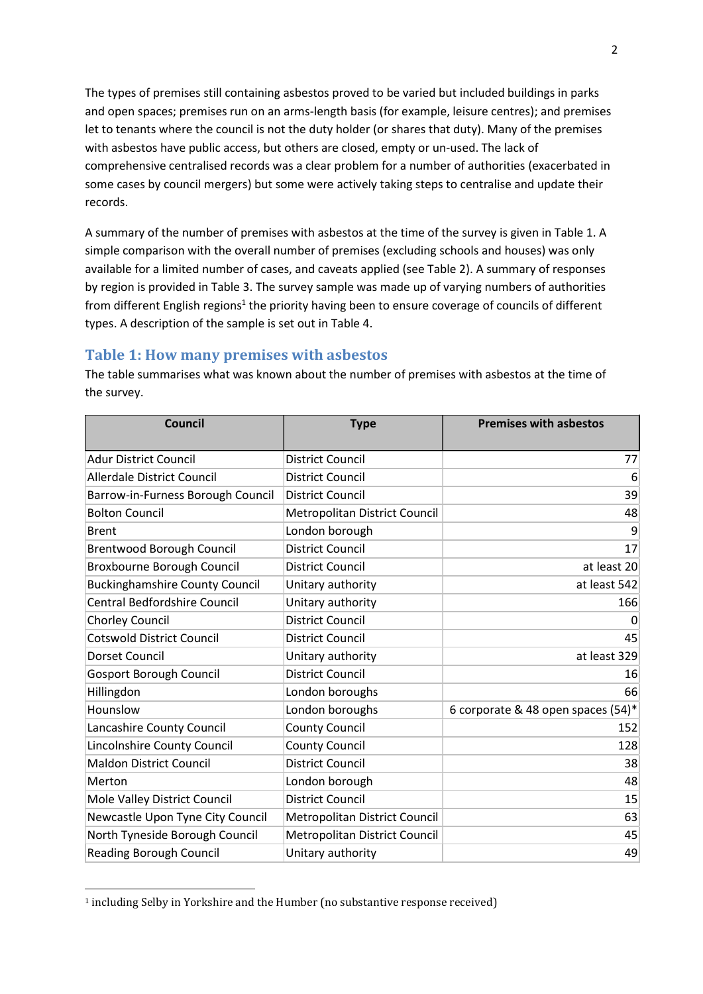The types of premises still containing asbestos proved to be varied but included buildings in parks and open spaces; premises run on an arms-length basis (for example, leisure centres); and premises let to tenants where the council is not the duty holder (or shares that duty). Many of the premises with asbestos have public access, but others are closed, empty or un-used. The lack of comprehensive centralised records was a clear problem for a number of authorities (exacerbated in some cases by council mergers) but some were actively taking steps to centralise and update their records.

A summary of the number of premises with asbestos at the time of the survey is given in Table 1. A simple comparison with the overall number of premises (excluding schools and houses) was only available for a limited number of cases, and caveats applied (see Table 2). A summary of responses by region is provided in Table 3. The survey sample was made up of varying numbers of authorities from different English regions<sup>1</sup> the priority having been to ensure coverage of councils of different types. A description of the sample is set out in Table 4.

## Table 1: How many premises with asbestos

Council **Type Premises with asbestos** Adur District Council District Council 77 Allerdale District Council District Council 6 Barrow-in-Furness Borough Council | District Council 39 | State Council 39 | State Council 39 | State Council 39 Bolton Council **Metropolitan District Council** Material Age and Metropolitan District Council Age and Metropolitan District Council Age and Metropolitan Metropolitan District Council and Metropolitan Metropolitan Metropoli Brent **Example 2018** London borough 1999 Prent 1999 9 Brentwood Borough Council **District Council 17** and 17 Broxbourne Borough Council District Council at least 20 Buckinghamshire County Council Unitary authority at least 542 Central Bedfordshire Council Unitary authority 166 Chorley Council District Council 0 Cotswold District Council District Council 45 Dorset Council **Domain Council** Unitary authority **and Council** at least 329 Gosport Borough Council **District Council 16** Council 16 Hillingdon London boroughs 66 Hounslow **London boroughs**  $\vert$  6 corporate & 48 open spaces (54)\* Lancashire County Council County Council County Council 152 Lincolnshire County Council County Council 128 Maldon District Council District Council 38 Merton and the control of the London borough the control of the control of the control of the control of the control of the control of the control of the control of the control of the control of the control of the control Mole Valley District Council District Council 15 Newcastle Upon Tyne City Council | Metropolitan District Council | The Council | The Council | The Council of S North Tyneside Borough Council Metropolitan District Council and Metropolitan A5 Reading Borough Council **Council** Unitary authority **1998** and 1999 **1998 1998 1998** 

The table summarises what was known about the number of premises with asbestos at the time of the survey.

<sup>&</sup>lt;sup>1</sup> including Selby in Yorkshire and the Humber (no substantive response received)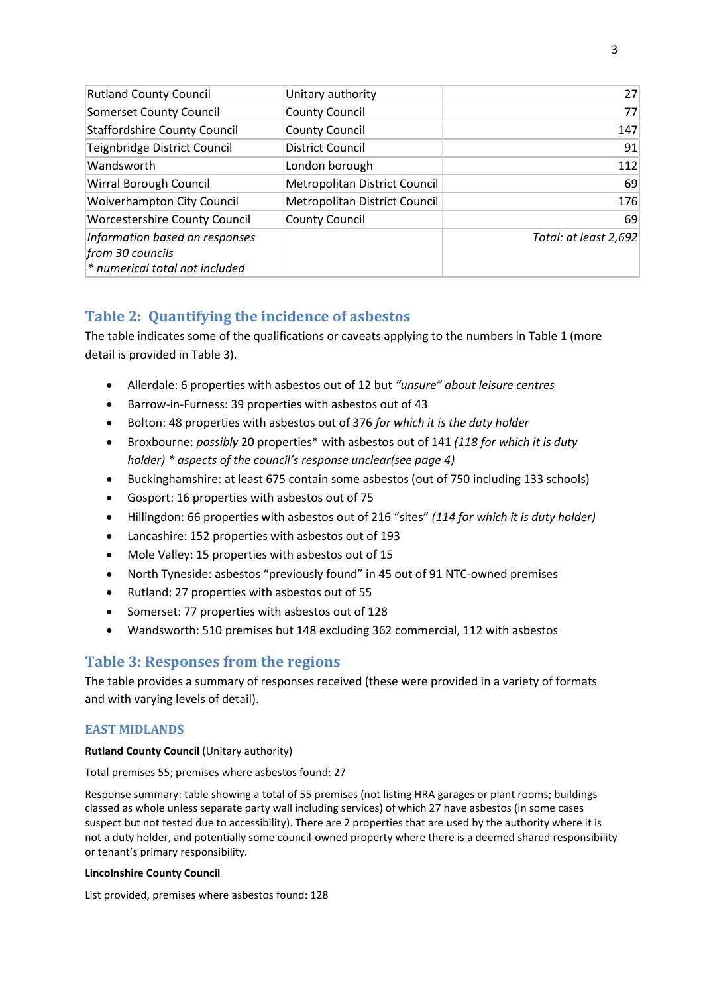| <b>Rutland County Council</b>                                                        | Unitary authority                    | 27                    |
|--------------------------------------------------------------------------------------|--------------------------------------|-----------------------|
| <b>Somerset County Council</b>                                                       | <b>County Council</b>                | 77                    |
| <b>Staffordshire County Council</b>                                                  | <b>County Council</b>                | 147                   |
| Teignbridge District Council                                                         | <b>District Council</b>              | 91                    |
| Wandsworth                                                                           | London borough                       | 112                   |
| <b>Wirral Borough Council</b>                                                        | <b>Metropolitan District Council</b> | 69                    |
| <b>Wolverhampton City Council</b>                                                    | Metropolitan District Council        | 176                   |
| <b>Worcestershire County Council</b>                                                 | <b>County Council</b>                | 69                    |
| Information based on responses<br>from 30 councils<br>* numerical total not included |                                      | Total: at least 2,692 |

# Table 2: Quantifying the incidence of asbestos

The table indicates some of the qualifications or caveats applying to the numbers in Table 1 (more detail is provided in Table 3).

- Allerdale: 6 properties with asbestos out of 12 but "unsure" about leisure centres
- Barrow-in-Furness: 39 properties with asbestos out of 43
- Bolton: 48 properties with asbestos out of 376 for which it is the duty holder
- Broxbourne: possibly 20 properties\* with asbestos out of 141 (118 for which it is duty holder) \* aspects of the council's response unclear(see page 4)
- Buckinghamshire: at least 675 contain some asbestos (out of 750 including 133 schools)
- Gosport: 16 properties with asbestos out of 75
- Hillingdon: 66 properties with asbestos out of 216 "sites" (114 for which it is duty holder)
- Lancashire: 152 properties with asbestos out of 193
- Mole Valley: 15 properties with asbestos out of 15
- North Tyneside: asbestos "previously found" in 45 out of 91 NTC-owned premises
- Rutland: 27 properties with asbestos out of 55
- Somerset: 77 properties with asbestos out of 128
- Wandsworth: 510 premises but 148 excluding 362 commercial, 112 with asbestos

## Table 3: Responses from the regions

The table provides a summary of responses received (these were provided in a variety of formats and with varying levels of detail).

## EAST MIDLANDS

Rutland County Council (Unitary authority)

Total premises 55; premises where asbestos found: 27

Response summary: table showing a total of 55 premises (not listing HRA garages or plant rooms; buildings classed as whole unless separate party wall including services) of which 27 have asbestos (in some cases suspect but not tested due to accessibility). There are 2 properties that are used by the authority where it is not a duty holder, and potentially some council-owned property where there is a deemed shared responsibility or tenant's primary responsibility.

## Lincolnshire County Council

List provided, premises where asbestos found: 128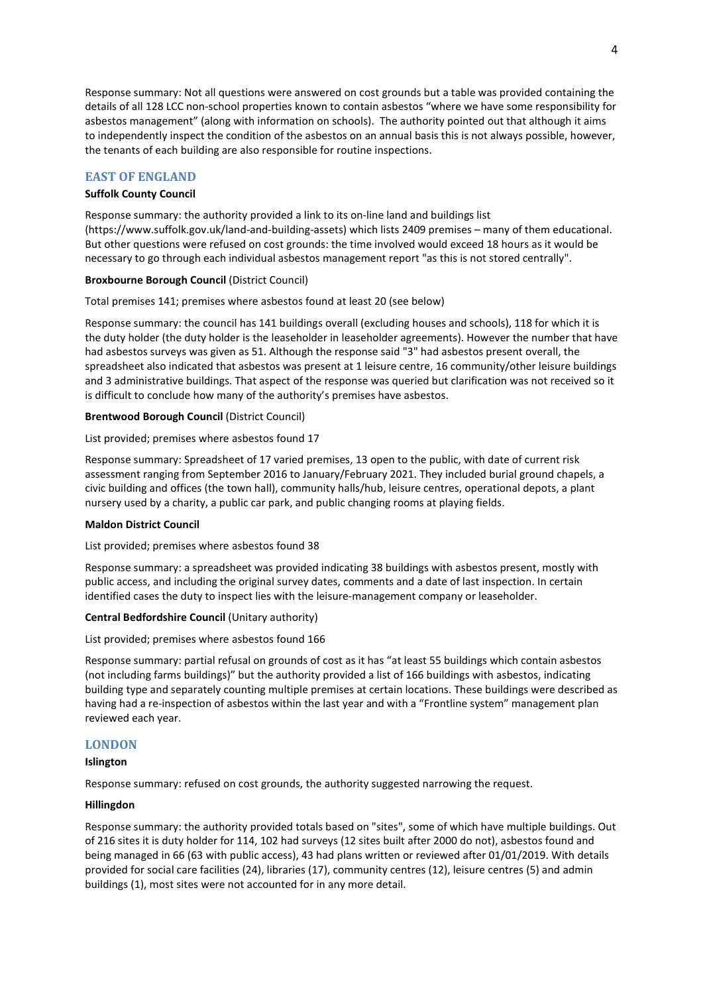Response summary: Not all questions were answered on cost grounds but a table was provided containing the details of all 128 LCC non-school properties known to contain asbestos "where we have some responsibility for asbestos management" (along with information on schools). The authority pointed out that although it aims to independently inspect the condition of the asbestos on an annual basis this is not always possible, however, the tenants of each building are also responsible for routine inspections.

## EAST OF ENGLAND

## Suffolk County Council

Response summary: the authority provided a link to its on-line land and buildings list (https://www.suffolk.gov.uk/land-and-building-assets) which lists 2409 premises – many of them educational. But other questions were refused on cost grounds: the time involved would exceed 18 hours as it would be necessary to go through each individual asbestos management report "as this is not stored centrally".

## Broxbourne Borough Council (District Council)

Total premises 141; premises where asbestos found at least 20 (see below)

Response summary: the council has 141 buildings overall (excluding houses and schools), 118 for which it is the duty holder (the duty holder is the leaseholder in leaseholder agreements). However the number that have had asbestos surveys was given as 51. Although the response said "3" had asbestos present overall, the spreadsheet also indicated that asbestos was present at 1 leisure centre, 16 community/other leisure buildings and 3 administrative buildings. That aspect of the response was queried but clarification was not received so it is difficult to conclude how many of the authority's premises have asbestos.

## Brentwood Borough Council (District Council)

List provided; premises where asbestos found 17

Response summary: Spreadsheet of 17 varied premises, 13 open to the public, with date of current risk assessment ranging from September 2016 to January/February 2021. They included burial ground chapels, a civic building and offices (the town hall), community halls/hub, leisure centres, operational depots, a plant nursery used by a charity, a public car park, and public changing rooms at playing fields.

#### Maldon District Council

List provided; premises where asbestos found 38

Response summary: a spreadsheet was provided indicating 38 buildings with asbestos present, mostly with public access, and including the original survey dates, comments and a date of last inspection. In certain identified cases the duty to inspect lies with the leisure-management company or leaseholder.

## Central Bedfordshire Council (Unitary authority)

List provided; premises where asbestos found 166

Response summary: partial refusal on grounds of cost as it has "at least 55 buildings which contain asbestos (not including farms buildings)" but the authority provided a list of 166 buildings with asbestos, indicating building type and separately counting multiple premises at certain locations. These buildings were described as having had a re-inspection of asbestos within the last year and with a "Frontline system" management plan reviewed each year.

## LONDON

#### Islington

Response summary: refused on cost grounds, the authority suggested narrowing the request.

#### Hillingdon

Response summary: the authority provided totals based on "sites", some of which have multiple buildings. Out of 216 sites it is duty holder for 114, 102 had surveys (12 sites built after 2000 do not), asbestos found and being managed in 66 (63 with public access), 43 had plans written or reviewed after 01/01/2019. With details provided for social care facilities (24), libraries (17), community centres (12), leisure centres (5) and admin buildings (1), most sites were not accounted for in any more detail.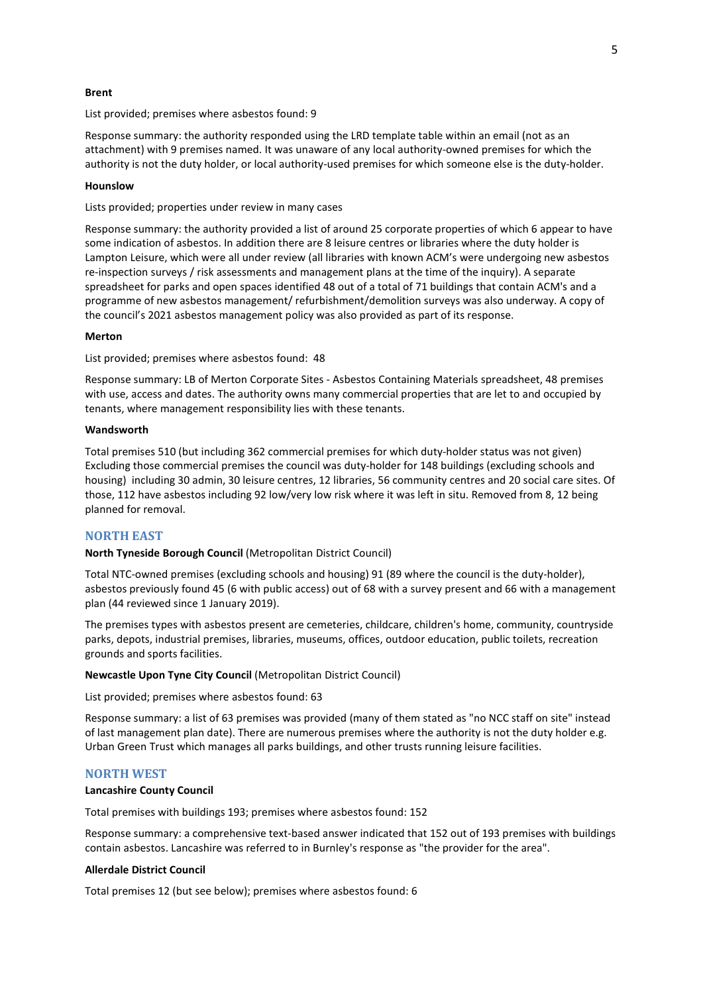#### Brent

List provided; premises where asbestos found: 9

Response summary: the authority responded using the LRD template table within an email (not as an attachment) with 9 premises named. It was unaware of any local authority-owned premises for which the authority is not the duty holder, or local authority-used premises for which someone else is the duty-holder.

#### Hounslow

Lists provided; properties under review in many cases

Response summary: the authority provided a list of around 25 corporate properties of which 6 appear to have some indication of asbestos. In addition there are 8 leisure centres or libraries where the duty holder is Lampton Leisure, which were all under review (all libraries with known ACM's were undergoing new asbestos re-inspection surveys / risk assessments and management plans at the time of the inquiry). A separate spreadsheet for parks and open spaces identified 48 out of a total of 71 buildings that contain ACM's and a programme of new asbestos management/ refurbishment/demolition surveys was also underway. A copy of the council's 2021 asbestos management policy was also provided as part of its response.

#### Merton

List provided; premises where asbestos found: 48

Response summary: LB of Merton Corporate Sites - Asbestos Containing Materials spreadsheet, 48 premises with use, access and dates. The authority owns many commercial properties that are let to and occupied by tenants, where management responsibility lies with these tenants.

#### Wandsworth

Total premises 510 (but including 362 commercial premises for which duty-holder status was not given) Excluding those commercial premises the council was duty-holder for 148 buildings (excluding schools and housing) including 30 admin, 30 leisure centres, 12 libraries, 56 community centres and 20 social care sites. Of those, 112 have asbestos including 92 low/very low risk where it was left in situ. Removed from 8, 12 being planned for removal.

## NORTH EAST

#### North Tyneside Borough Council (Metropolitan District Council)

Total NTC-owned premises (excluding schools and housing) 91 (89 where the council is the duty-holder), asbestos previously found 45 (6 with public access) out of 68 with a survey present and 66 with a management plan (44 reviewed since 1 January 2019).

The premises types with asbestos present are cemeteries, childcare, children's home, community, countryside parks, depots, industrial premises, libraries, museums, offices, outdoor education, public toilets, recreation grounds and sports facilities.

#### Newcastle Upon Tyne City Council (Metropolitan District Council)

List provided; premises where asbestos found: 63

Response summary: a list of 63 premises was provided (many of them stated as "no NCC staff on site" instead of last management plan date). There are numerous premises where the authority is not the duty holder e.g. Urban Green Trust which manages all parks buildings, and other trusts running leisure facilities.

#### NORTH WEST

#### Lancashire County Council

Total premises with buildings 193; premises where asbestos found: 152

Response summary: a comprehensive text-based answer indicated that 152 out of 193 premises with buildings contain asbestos. Lancashire was referred to in Burnley's response as "the provider for the area".

#### Allerdale District Council

Total premises 12 (but see below); premises where asbestos found: 6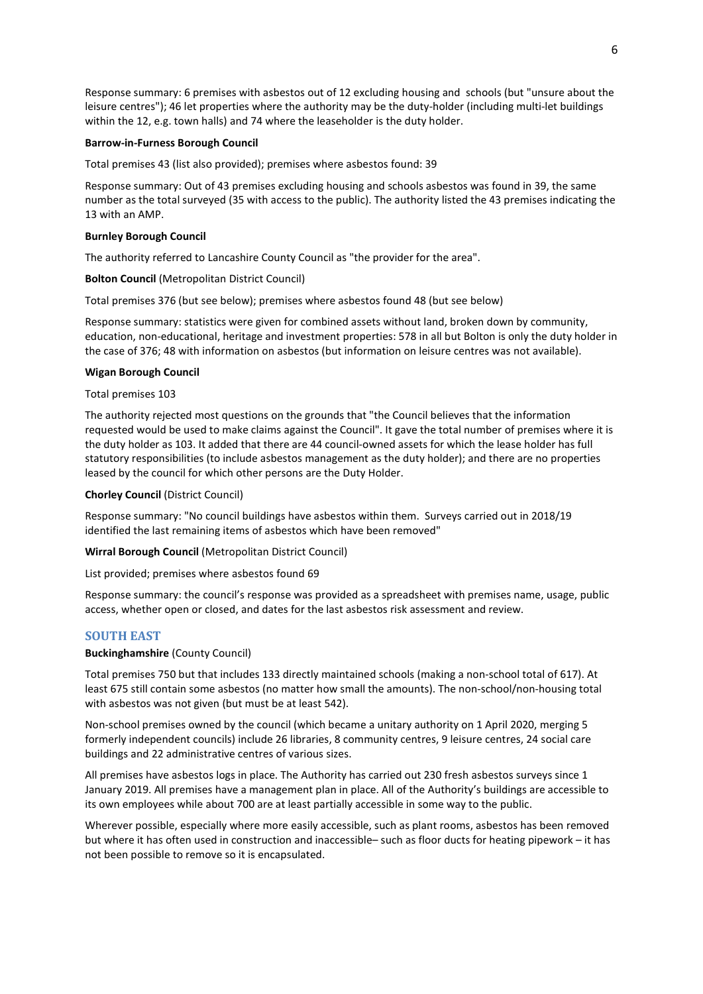Response summary: 6 premises with asbestos out of 12 excluding housing and schools (but "unsure about the leisure centres"); 46 let properties where the authority may be the duty-holder (including multi-let buildings within the 12, e.g. town halls) and 74 where the leaseholder is the duty holder.

### Barrow-in-Furness Borough Council

Total premises 43 (list also provided); premises where asbestos found: 39

Response summary: Out of 43 premises excluding housing and schools asbestos was found in 39, the same number as the total surveyed (35 with access to the public). The authority listed the 43 premises indicating the 13 with an AMP.

### Burnley Borough Council

The authority referred to Lancashire County Council as "the provider for the area".

## Bolton Council (Metropolitan District Council)

Total premises 376 (but see below); premises where asbestos found 48 (but see below)

Response summary: statistics were given for combined assets without land, broken down by community, education, non-educational, heritage and investment properties: 578 in all but Bolton is only the duty holder in the case of 376; 48 with information on asbestos (but information on leisure centres was not available).

#### Wigan Borough Council

Total premises 103

The authority rejected most questions on the grounds that "the Council believes that the information requested would be used to make claims against the Council". It gave the total number of premises where it is the duty holder as 103. It added that there are 44 council-owned assets for which the lease holder has full statutory responsibilities (to include asbestos management as the duty holder); and there are no properties leased by the council for which other persons are the Duty Holder.

## Chorley Council (District Council)

Response summary: "No council buildings have asbestos within them. Surveys carried out in 2018/19 identified the last remaining items of asbestos which have been removed"

Wirral Borough Council (Metropolitan District Council)

List provided; premises where asbestos found 69

Response summary: the council's response was provided as a spreadsheet with premises name, usage, public access, whether open or closed, and dates for the last asbestos risk assessment and review.

## SOUTH EAST

### Buckinghamshire (County Council)

Total premises 750 but that includes 133 directly maintained schools (making a non-school total of 617). At least 675 still contain some asbestos (no matter how small the amounts). The non-school/non-housing total with asbestos was not given (but must be at least 542).

Non-school premises owned by the council (which became a unitary authority on 1 April 2020, merging 5 formerly independent councils) include 26 libraries, 8 community centres, 9 leisure centres, 24 social care buildings and 22 administrative centres of various sizes.

All premises have asbestos logs in place. The Authority has carried out 230 fresh asbestos surveys since 1 January 2019. All premises have a management plan in place. All of the Authority's buildings are accessible to its own employees while about 700 are at least partially accessible in some way to the public.

Wherever possible, especially where more easily accessible, such as plant rooms, asbestos has been removed but where it has often used in construction and inaccessible– such as floor ducts for heating pipework – it has not been possible to remove so it is encapsulated.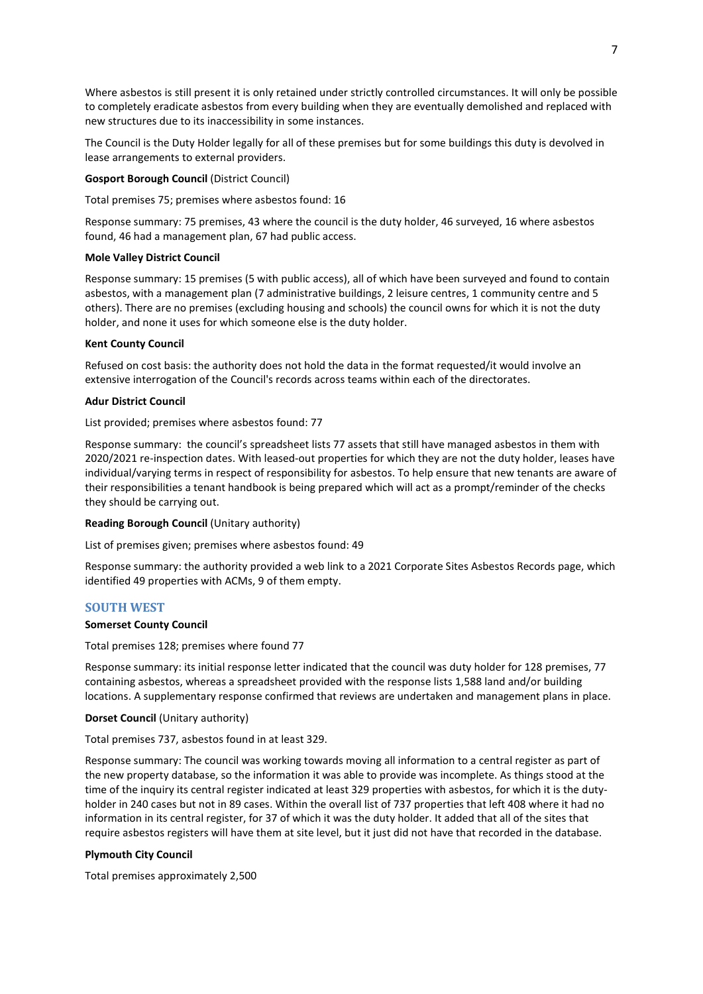Where asbestos is still present it is only retained under strictly controlled circumstances. It will only be possible to completely eradicate asbestos from every building when they are eventually demolished and replaced with new structures due to its inaccessibility in some instances.

The Council is the Duty Holder legally for all of these premises but for some buildings this duty is devolved in lease arrangements to external providers.

## Gosport Borough Council (District Council)

Total premises 75; premises where asbestos found: 16

Response summary: 75 premises, 43 where the council is the duty holder, 46 surveyed, 16 where asbestos found, 46 had a management plan, 67 had public access.

#### Mole Valley District Council

Response summary: 15 premises (5 with public access), all of which have been surveyed and found to contain asbestos, with a management plan (7 administrative buildings, 2 leisure centres, 1 community centre and 5 others). There are no premises (excluding housing and schools) the council owns for which it is not the duty holder, and none it uses for which someone else is the duty holder.

## Kent County Council

Refused on cost basis: the authority does not hold the data in the format requested/it would involve an extensive interrogation of the Council's records across teams within each of the directorates.

## Adur District Council

List provided; premises where asbestos found: 77

Response summary: the council's spreadsheet lists 77 assets that still have managed asbestos in them with 2020/2021 re-inspection dates. With leased-out properties for which they are not the duty holder, leases have individual/varying terms in respect of responsibility for asbestos. To help ensure that new tenants are aware of their responsibilities a tenant handbook is being prepared which will act as a prompt/reminder of the checks they should be carrying out.

#### Reading Borough Council (Unitary authority)

List of premises given; premises where asbestos found: 49

Response summary: the authority provided a web link to a 2021 Corporate Sites Asbestos Records page, which identified 49 properties with ACMs, 9 of them empty.

## SOUTH WEST

#### Somerset County Council

Total premises 128; premises where found 77

Response summary: its initial response letter indicated that the council was duty holder for 128 premises, 77 containing asbestos, whereas a spreadsheet provided with the response lists 1,588 land and/or building locations. A supplementary response confirmed that reviews are undertaken and management plans in place.

#### Dorset Council (Unitary authority)

Total premises 737, asbestos found in at least 329.

Response summary: The council was working towards moving all information to a central register as part of the new property database, so the information it was able to provide was incomplete. As things stood at the time of the inquiry its central register indicated at least 329 properties with asbestos, for which it is the dutyholder in 240 cases but not in 89 cases. Within the overall list of 737 properties that left 408 where it had no information in its central register, for 37 of which it was the duty holder. It added that all of the sites that require asbestos registers will have them at site level, but it just did not have that recorded in the database.

#### Plymouth City Council

Total premises approximately 2,500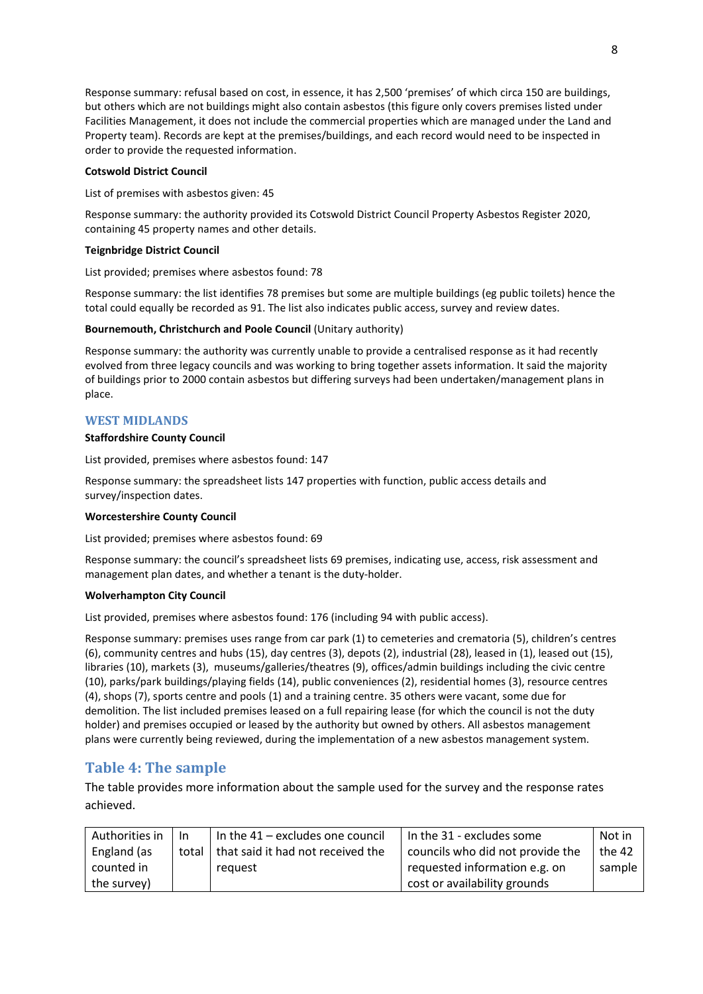Response summary: refusal based on cost, in essence, it has 2,500 'premises' of which circa 150 are buildings, but others which are not buildings might also contain asbestos (this figure only covers premises listed under Facilities Management, it does not include the commercial properties which are managed under the Land and Property team). Records are kept at the premises/buildings, and each record would need to be inspected in order to provide the requested information.

## Cotswold District Council

List of premises with asbestos given: 45

Response summary: the authority provided its Cotswold District Council Property Asbestos Register 2020, containing 45 property names and other details.

## Teignbridge District Council

List provided; premises where asbestos found: 78

Response summary: the list identifies 78 premises but some are multiple buildings (eg public toilets) hence the total could equally be recorded as 91. The list also indicates public access, survey and review dates.

## Bournemouth, Christchurch and Poole Council (Unitary authority)

Response summary: the authority was currently unable to provide a centralised response as it had recently evolved from three legacy councils and was working to bring together assets information. It said the majority of buildings prior to 2000 contain asbestos but differing surveys had been undertaken/management plans in place.

## WEST MIDLANDS

#### Staffordshire County Council

List provided, premises where asbestos found: 147

Response summary: the spreadsheet lists 147 properties with function, public access details and survey/inspection dates.

#### Worcestershire County Council

List provided; premises where asbestos found: 69

Response summary: the council's spreadsheet lists 69 premises, indicating use, access, risk assessment and management plan dates, and whether a tenant is the duty-holder.

#### Wolverhampton City Council

List provided, premises where asbestos found: 176 (including 94 with public access).

Response summary: premises uses range from car park (1) to cemeteries and crematoria (5), children's centres (6), community centres and hubs (15), day centres (3), depots (2), industrial (28), leased in (1), leased out (15), libraries (10), markets (3), museums/galleries/theatres (9), offices/admin buildings including the civic centre (10), parks/park buildings/playing fields (14), public conveniences (2), residential homes (3), resource centres (4), shops (7), sports centre and pools (1) and a training centre. 35 others were vacant, some due for demolition. The list included premises leased on a full repairing lease (for which the council is not the duty holder) and premises occupied or leased by the authority but owned by others. All asbestos management plans were currently being reviewed, during the implementation of a new asbestos management system.

## Table 4: The sample

The table provides more information about the sample used for the survey and the response rates achieved.

| Authorities in | <b>In</b> | In the $41$ – excludes one council | In the 31 - excludes some        | Not in |
|----------------|-----------|------------------------------------|----------------------------------|--------|
| England (as    | total     | that said it had not received the  | councils who did not provide the | the 42 |
| counted in     |           | reguest                            | requested information e.g. on    | sample |
| the survey)    |           |                                    | cost or availability grounds     |        |